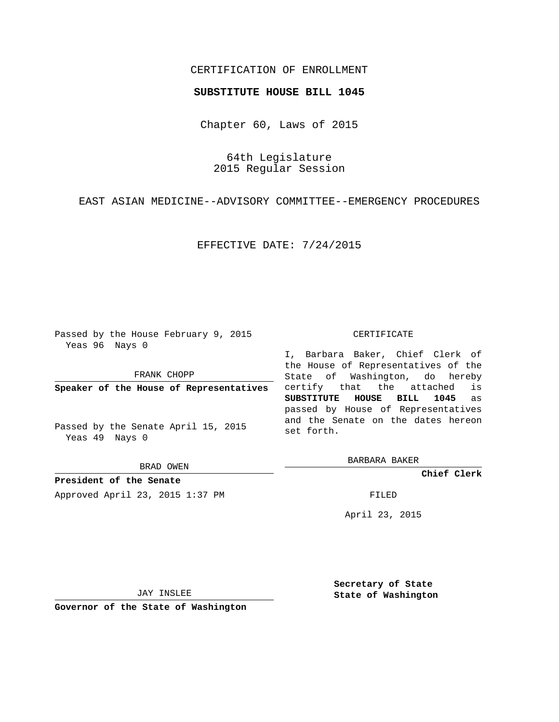# CERTIFICATION OF ENROLLMENT

### **SUBSTITUTE HOUSE BILL 1045**

Chapter 60, Laws of 2015

64th Legislature 2015 Regular Session

EAST ASIAN MEDICINE--ADVISORY COMMITTEE--EMERGENCY PROCEDURES

#### EFFECTIVE DATE: 7/24/2015

Passed by the House February 9, 2015 Yeas 96 Nays 0

FRANK CHOPP

**Speaker of the House of Representatives**

Passed by the Senate April 15, 2015 Yeas 49 Nays 0

BRAD OWEN

**President of the Senate** Approved April 23, 2015 1:37 PM FILED

#### CERTIFICATE

I, Barbara Baker, Chief Clerk of the House of Representatives of the State of Washington, do hereby certify that the attached is **SUBSTITUTE HOUSE BILL 1045** as passed by House of Representatives and the Senate on the dates hereon set forth.

BARBARA BAKER

**Chief Clerk**

April 23, 2015

JAY INSLEE

**Governor of the State of Washington**

**Secretary of State State of Washington**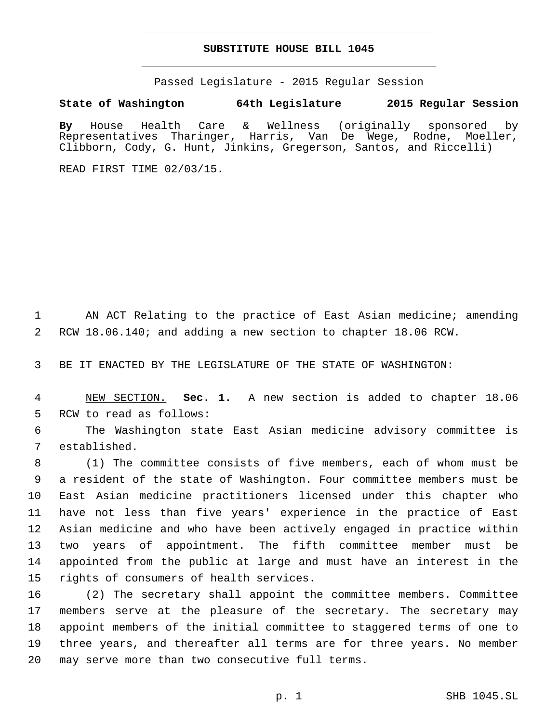## **SUBSTITUTE HOUSE BILL 1045**

Passed Legislature - 2015 Regular Session

**State of Washington 64th Legislature 2015 Regular Session**

**By** House Health Care & Wellness (originally sponsored by Representatives Tharinger, Harris, Van De Wege, Rodne, Moeller, Clibborn, Cody, G. Hunt, Jinkins, Gregerson, Santos, and Riccelli)

READ FIRST TIME 02/03/15.

1 AN ACT Relating to the practice of East Asian medicine; amending 2 RCW 18.06.140; and adding a new section to chapter 18.06 RCW.

3 BE IT ENACTED BY THE LEGISLATURE OF THE STATE OF WASHINGTON:

4 NEW SECTION. **Sec. 1.** A new section is added to chapter 18.06 5 RCW to read as follows:

6 The Washington state East Asian medicine advisory committee is established. 7

 (1) The committee consists of five members, each of whom must be a resident of the state of Washington. Four committee members must be East Asian medicine practitioners licensed under this chapter who have not less than five years' experience in the practice of East Asian medicine and who have been actively engaged in practice within two years of appointment. The fifth committee member must be appointed from the public at large and must have an interest in the 15 rights of consumers of health services.

 (2) The secretary shall appoint the committee members. Committee members serve at the pleasure of the secretary. The secretary may appoint members of the initial committee to staggered terms of one to three years, and thereafter all terms are for three years. No member 20 may serve more than two consecutive full terms.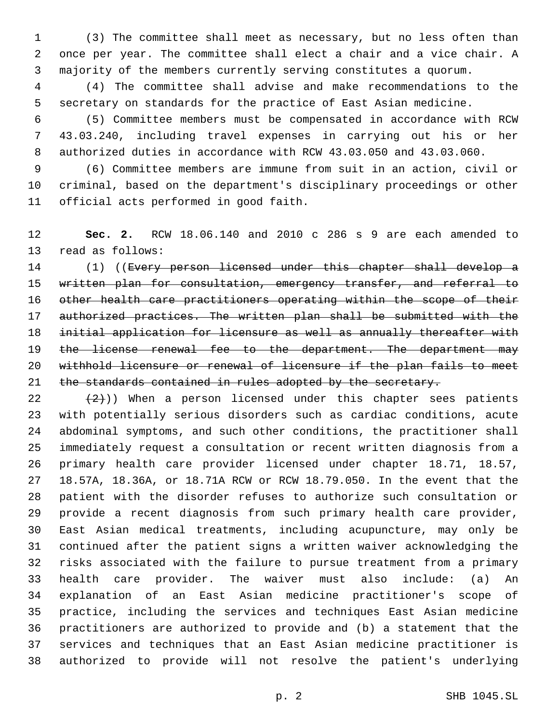(3) The committee shall meet as necessary, but no less often than once per year. The committee shall elect a chair and a vice chair. A majority of the members currently serving constitutes a quorum.

 (4) The committee shall advise and make recommendations to the secretary on standards for the practice of East Asian medicine.

 (5) Committee members must be compensated in accordance with RCW 43.03.240, including travel expenses in carrying out his or her authorized duties in accordance with RCW 43.03.050 and 43.03.060.

 (6) Committee members are immune from suit in an action, civil or criminal, based on the department's disciplinary proceedings or other 11 official acts performed in good faith.

 **Sec. 2.** RCW 18.06.140 and 2010 c 286 s 9 are each amended to 13 read as follows:

 (1) ((Every person licensed under this chapter shall develop a 15 written plan for consultation, emergency transfer, and referral to other health care practitioners operating within the scope of their authorized practices. The written plan shall be submitted with the initial application for licensure as well as annually thereafter with 19 the license renewal fee to the department. The department may withhold licensure or renewal of licensure if the plan fails to meet 21 the standards contained in rules adopted by the secretary.

 $(2)$ )) When a person licensed under this chapter sees patients with potentially serious disorders such as cardiac conditions, acute abdominal symptoms, and such other conditions, the practitioner shall immediately request a consultation or recent written diagnosis from a primary health care provider licensed under chapter 18.71, 18.57, 18.57A, 18.36A, or 18.71A RCW or RCW 18.79.050. In the event that the patient with the disorder refuses to authorize such consultation or provide a recent diagnosis from such primary health care provider, East Asian medical treatments, including acupuncture, may only be continued after the patient signs a written waiver acknowledging the risks associated with the failure to pursue treatment from a primary health care provider. The waiver must also include: (a) An explanation of an East Asian medicine practitioner's scope of practice, including the services and techniques East Asian medicine practitioners are authorized to provide and (b) a statement that the services and techniques that an East Asian medicine practitioner is authorized to provide will not resolve the patient's underlying